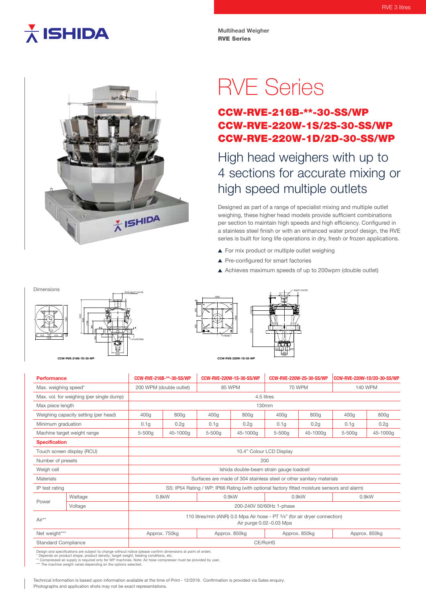# $\star$  ISHIDA

**Multihead Weigher** RVE Series

# X ISHIDA

RVE Series

## CCW-RVE-216B-\*\*-30-SS/WP CCW-RVE-220W-1S/2S-30-SS/WP CCW-RVE-220W-1D/2D-30-SS/WP

# High head weighers with up to 4 sections for accurate mixing or high speed multiple outlets

Designed as part of a range of specialist mixing and multiple outlet weighing, these higher head models provide sufficient combinations per section to maintain high speeds and high efficiency. Configured in a stainless steel finish or with an enhanced water proof design, the RVE series is built for long life operations in dry, fresh or frozen applications.

- ▲ For mix product or multiple outlet weighing
- ▲ Pre-configured for smart factories
- Achieves maximum speeds of up to 200wpm (double outlet)

INLET CHUTE

Dimensions



PLATFORM

Ø500 INLET CHUTE

### HEAD 1 1600 1600 1676 229 230 600 600 25 228 1 228 320 1030

| Performance                              |         | CCW-RVE-216B-**-30-SS/WP                                                                              |          | <b>CCW-RVE-220W-1S-30-SS/WP</b> |               | <b>CCW-RVE-220W-2S-30-SS/WP</b> |               | CCW-RVE-220W-1D/2D-30-SS/WP |          |
|------------------------------------------|---------|-------------------------------------------------------------------------------------------------------|----------|---------------------------------|---------------|---------------------------------|---------------|-----------------------------|----------|
| Max. weighing speed*                     |         | 200 WPM (double outlet)                                                                               |          | <b>85 WPM</b>                   |               | <b>70 WPM</b>                   |               | <b>140 WPM</b>              |          |
| Max. vol. for weighing (per single dump) |         | 4.5 litres                                                                                            |          |                                 |               |                                 |               |                             |          |
| Max piece length                         |         | 130mm                                                                                                 |          |                                 |               |                                 |               |                             |          |
| Weighing capacity setting (per head)     |         | 400g                                                                                                  | 800g     | 400q                            | 800g          | 400g                            | 800g          | 400g                        | 800g     |
| Minimum graduation                       |         | 0.1 <sub>g</sub>                                                                                      | 0.2g     | 0.1q                            | 0.2g          | 0.1q                            | 0.2g          | 0.1 <sub>g</sub>            | 0.2g     |
| Machine target weight range              |         | $5 - 500a$                                                                                            | 45-1000a | 5-500g                          | 45-1000a      | 5-500g                          | 45-1000g      | $5 - 500a$                  | 45-1000a |
| <b>Specification</b>                     |         |                                                                                                       |          |                                 |               |                                 |               |                             |          |
| Touch screen display (RCU)               |         | 10.4" Colour LCD Display                                                                              |          |                                 |               |                                 |               |                             |          |
| Number of presets                        |         | 200                                                                                                   |          |                                 |               |                                 |               |                             |          |
| Weigh cell                               |         | Ishida double-beam strain gauge loadcell                                                              |          |                                 |               |                                 |               |                             |          |
| Materials                                |         | Surfaces are made of 304 stainless steel or other sanitary materials                                  |          |                                 |               |                                 |               |                             |          |
| IP test rating                           |         | SS: IP54 Rating / WP: IP66 Rating (with optional factory fitted moisture sensors and alarm)           |          |                                 |               |                                 |               |                             |          |
| Power                                    | Wattage | $0.8$ kW                                                                                              |          | $0.9$ kW                        |               | $0.9$ kW                        |               | $0.9$ kW                    |          |
|                                          | Voltage | 200-240V 50/60Hz 1-phase                                                                              |          |                                 |               |                                 |               |                             |          |
| Air**                                    |         | 110 litres/min (ANR) 0.5 Mpa Air hose - PT 3/8" (for air dryer connection)<br>Air purge 0.02~0.03 Mpa |          |                                 |               |                                 |               |                             |          |
| Net weight***                            |         | Approx. 750kg                                                                                         |          |                                 | Approx. 850kg |                                 | Approx. 850kg | Approx. 850kg               |          |
| <b>Standard Compliance</b>               |         | CE/RoHS                                                                                               |          |                                 |               |                                 |               |                             |          |

Design and specifications are subject to change without notice (please confirm dimensions at point of order).<br>\* Depends on product shape, product density, target weight, feeding conditions, etc.<br>\*\* Compressed air supply is